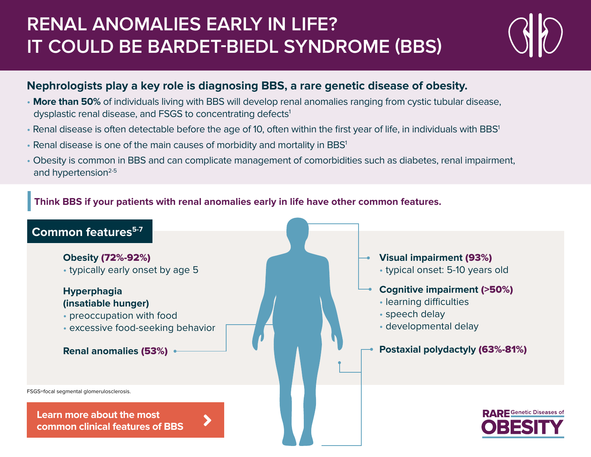# **RENAL ANOMALIES EARLY IN LIFE? IT COULD BE BARDET-BIEDL SYNDROME (BBS)**

### **Nephrologists play a key role is diagnosing BBS, a rare genetic disease of obesity.**

- **More than 50%** of individuals living with BBS will develop renal anomalies ranging from cystic tubular disease, dysplastic renal disease, and FSGS to concentrating defects<sup>1</sup>
- Renal disease is often detectable before the age of 10, often within the first year of life, in individuals with BBS<sup>1</sup>
- Renal disease is one of the main causes of morbidity and mortality in BBS<sup>1</sup>
- Obesity is common in BBS and can complicate management of comorbidities such as diabetes, renal impairment, and hypertension $2-5$

#### **Think BBS if your patients with renal anomalies early in life have other common features.**